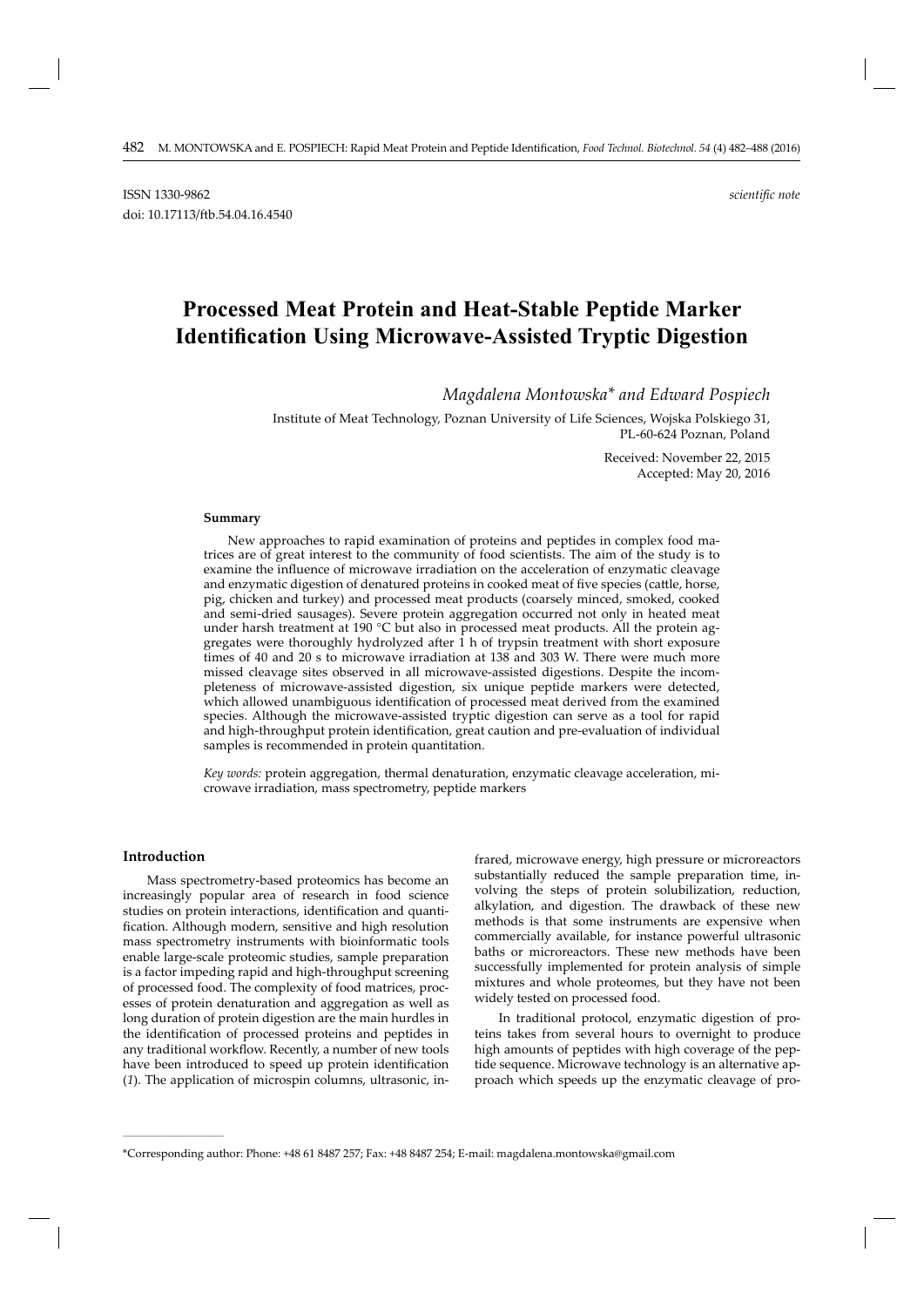# **Processed Meat Protein and Heat-Stable Peptide Marker Identification Using Microwave-Assisted Tryptic Digestion**

*Magdalena Montowska\* and Edward Pospiech*

Institute of Meat Technology, Poznan University of Life Sciences, Wojska Polskiego 31, PL-60-624 Poznan, Poland

> Received: November 22, 2015 Accepted: May 20, 2016

### **Summary**

New approaches to rapid examination of proteins and peptides in complex food matrices are of great interest to the community of food scientists. The aim of the study is to examine the influence of microwave irradiation on the acceleration of enzymatic cleavage and enzymatic digestion of denatured proteins in cooked meat of five species (cattle, horse, pig, chicken and turkey) and processed meat products (coarsely minced, smoked, cooked and semi-dried sausages). Severe protein aggregation occurred not only in heated meat under harsh treatment at 190 °C but also in processed meat products. All the protein aggregates were thoroughly hydrolyzed after 1 h of trypsin treatment with short exposure times of 40 and 20 s to microwave irradiation at 138 and 303 W. There were much more missed cleavage sites observed in all microwave-assisted digestions. Despite the incompleteness of microwave-assisted digestion, six unique peptide markers were detected, which allowed unambiguous identification of processed meat derived from the examined species. Although the microwave-assisted tryptic digestion can serve as a tool for rapid and high-throughput protein identification, great caution and pre-evaluation of individual samples is recommended in protein quantitation.

*Key words:* protein aggregation, thermal denaturation, enzymatic cleavage acceleration, microwave irradiation, mass spectrometry, peptide markers

### **Introduction**

**\_\_\_\_\_\_\_\_\_\_\_\_\_\_\_\_\_\_\_\_\_\_\_\_\_\_\_\_\_\_**

Mass spectrometry-based proteomics has become an increasingly popular area of research in food science studies on protein interactions, identification and quantification. Although modern, sensitive and high resolution mass spectrometry instruments with bioinformatic tools enable large-scale proteomic studies, sample preparation is a factor impeding rapid and high-throughput screening of processed food. The complexity of food matrices, processes of protein denaturation and aggregation as well as long duration of protein digestion are the main hurdles in the identification of processed proteins and peptides in any traditional workflow. Recently, a number of new tools have been introduced to speed up protein identification (*1*). The application of microspin columns, ultrasonic, infrared, microwave energy, high pressure or microreactors substantially reduced the sample preparation time, involving the steps of protein solubilization, reduction, alkylation, and digestion. The drawback of these new methods is that some instruments are expensive when commercially available, for instance powerful ultrasonic baths or microreactors. These new methods have been successfully implemented for protein analysis of simple mixtures and whole proteomes, but they have not been widely tested on processed food.

In traditional protocol, enzymatic digestion of proteins takes from several hours to overnight to produce high amounts of peptides with high coverage of the peptide sequence. Microwave technology is an alternative approach which speeds up the enzymatic cleavage of pro-

<sup>\*</sup>Corresponding author: Phone: +48 61 8487 257; Fax: +48 8487 254; E-mail: magdalena.montowska@gmail.com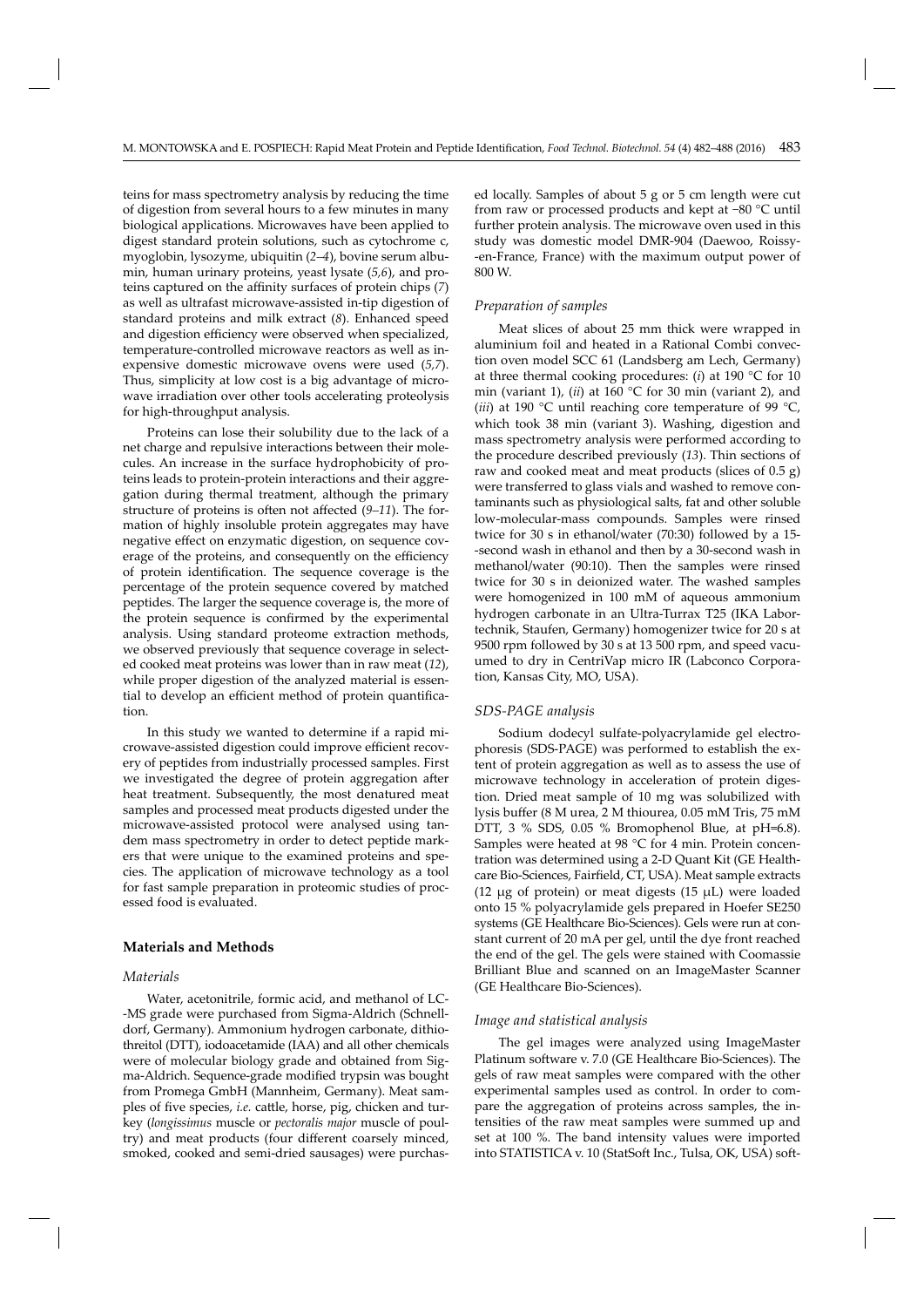teins for mass spectrometry analysis by reducing the time of digestion from several hours to a few minutes in many biological applications. Microwaves have been applied to digest standard protein solutions, such as cytochrome c, myoglobin, lysozyme, ubiquitin (*2–4*), bovine serum albumin, human urinary proteins, yeast lysate (*5,6*), and proteins captured on the affinity surfaces of protein chips (7) as well as ultrafast microwave-assisted in-tip digestion of standard proteins and milk extract (*8*). Enhanced speed and digestion efficiency were observed when specialized, temperature-controlled microwave reactors as well as inexpensive domestic microwave ovens were used (*5,7*). Thus, simplicity at low cost is a big advantage of microwave irradiation over other tools accelerating proteolysis for high-throughput analysis.

Proteins can lose their solubility due to the lack of a net charge and repulsive interactions between their molecules. An increase in the surface hydrophobicity of proteins leads to protein-protein interactions and their aggregation during thermal treatment, although the primary structure of proteins is often not affected (9-11). The formation of highly insoluble protein aggregates may have negative effect on enzymatic digestion, on sequence coverage of the proteins, and consequently on the efficiency of protein identification. The sequence coverage is the percentage of the protein sequence covered by matched peptides. The larger the sequence coverage is, the more of the protein sequence is confirmed by the experimental analysis. Using standard proteome extraction methods, we observed previously that sequence coverage in selected cooked meat proteins was lower than in raw meat (*12*), while proper digestion of the analyzed material is essential to develop an efficient method of protein quantification.

In this study we wanted to determine if a rapid microwave-assisted digestion could improve efficient recovery of peptides from industrially processed samples. First we investigated the degree of protein aggregation after heat treatment. Subsequently, the most denatured meat samples and processed meat products digested under the microwave-assisted protocol were analysed using tandem mass spectrometry in order to detect peptide markers that were unique to the examined proteins and species. The application of microwave technology as a tool for fast sample preparation in proteomic studies of processed food is evaluated.

# **Materials and Methods**

### *Materials*

Water, acetonitrile, formic acid, and methanol of LC- -MS grade were purchased from Sigma-Aldrich (Schnelldorf, Germany). Ammonium hydrogen carbonate, dithiothreitol (DTT), iodoacetamide (IAA) and all other chemicals were of molecular biology grade and obtained from Sigma-Aldrich. Sequence-grade modified trypsin was bought from Promega GmbH (Mannheim, Germany). Meat samples of five species, *i.e.* cattle, horse, pig, chicken and turkey (*longissimus* muscle or *pectoralis major* muscle of poultry) and meat products (four different coarsely minced, smoked, cooked and semi-dried sausages) were purchased locally. Samples of about 5 g or 5 cm length were cut from raw or processed products and kept at −80 °C until further protein analysis. The microwave oven used in this study was domestic model DMR-904 (Daewoo, Roissy- -en-France, France) with the maximum output power of 800 W.

## *Preparation of samples*

Meat slices of about 25 mm thick were wrapped in aluminium foil and heated in a Rational Combi convection oven model SCC 61 (Landsberg am Lech, Germany) at three thermal cooking procedures: (*i*) at 190 °C for 10 min (variant 1), (*ii*) at 160 °C for 30 min (variant 2), and (*iii*) at 190 °C until reaching core temperature of 99 °C, which took 38 min (variant 3). Washing, digestion and mass spectrometry analysis were performed according to the procedure described previously (*13*). Thin sections of raw and cooked meat and meat products (slices of 0.5 g) were transferred to glass vials and washed to remove contaminants such as physiological salts, fat and other soluble low-molecular-mass compounds. Samples were rinsed twice for 30 s in ethanol/water (70:30) followed by a 15- -second wash in ethanol and then by a 30-second wash in methanol/water (90:10). Then the samples were rinsed twice for 30 s in deionized water. The washed samples were homogenized in 100 mM of aqueous ammonium hydrogen carbonate in an Ultra-Turrax T25 (IKA Labortechnik, Staufen, Germany) homogenizer twice for 20 s at 9500 rpm followed by 30 s at 13 500 rpm, and speed vacuumed to dry in CentriVap micro IR (Labconco Corporation, Kansas City, MO, USA).

### *SDS-PAGE analysis*

Sodium dodecyl sulfate-polyacrylamide gel electrophoresis (SDS-PAGE) was performed to establish the extent of protein aggregation as well as to assess the use of microwave technology in acceleration of protein digestion. Dried meat sample of 10 mg was solubilized with lysis buffer (8 M urea, 2 M thiourea, 0.05 mM Tris, 75 mM DTT, 3 % SDS, 0.05 % Bromophenol Blue, at pH=6.8). Samples were heated at 98 °C for 4 min. Protein concentration was determined using a 2-D Quant Kit (GE Healthcare Bio-Sciences, Fairfield, CT, USA). Meat sample extracts (12 μg of protein) or meat digests (15  $\mu$ L) were loaded onto 15 % polyacrylamide gels prepared in Hoefer SE250 systems (GE Healthcare Bio-Sciences). Gels were run at constant current of 20 mA per gel, until the dye front reached the end of the gel. The gels were stained with Coomassie Brilliant Blue and scanned on an ImageMaster Scanner (GE Healthcare Bio-Sciences).

### *Image and statistical analysis*

The gel images were analyzed using ImageMaster Platinum software v. 7.0 (GE Healthcare Bio-Sciences). The gels of raw meat samples were compared with the other experimental samples used as control. In order to compare the aggregation of proteins across samples, the intensities of the raw meat samples were summed up and set at 100 %. The band intensity values were imported into STATISTICA v. 10 (StatSoft Inc., Tulsa, OK, USA) soft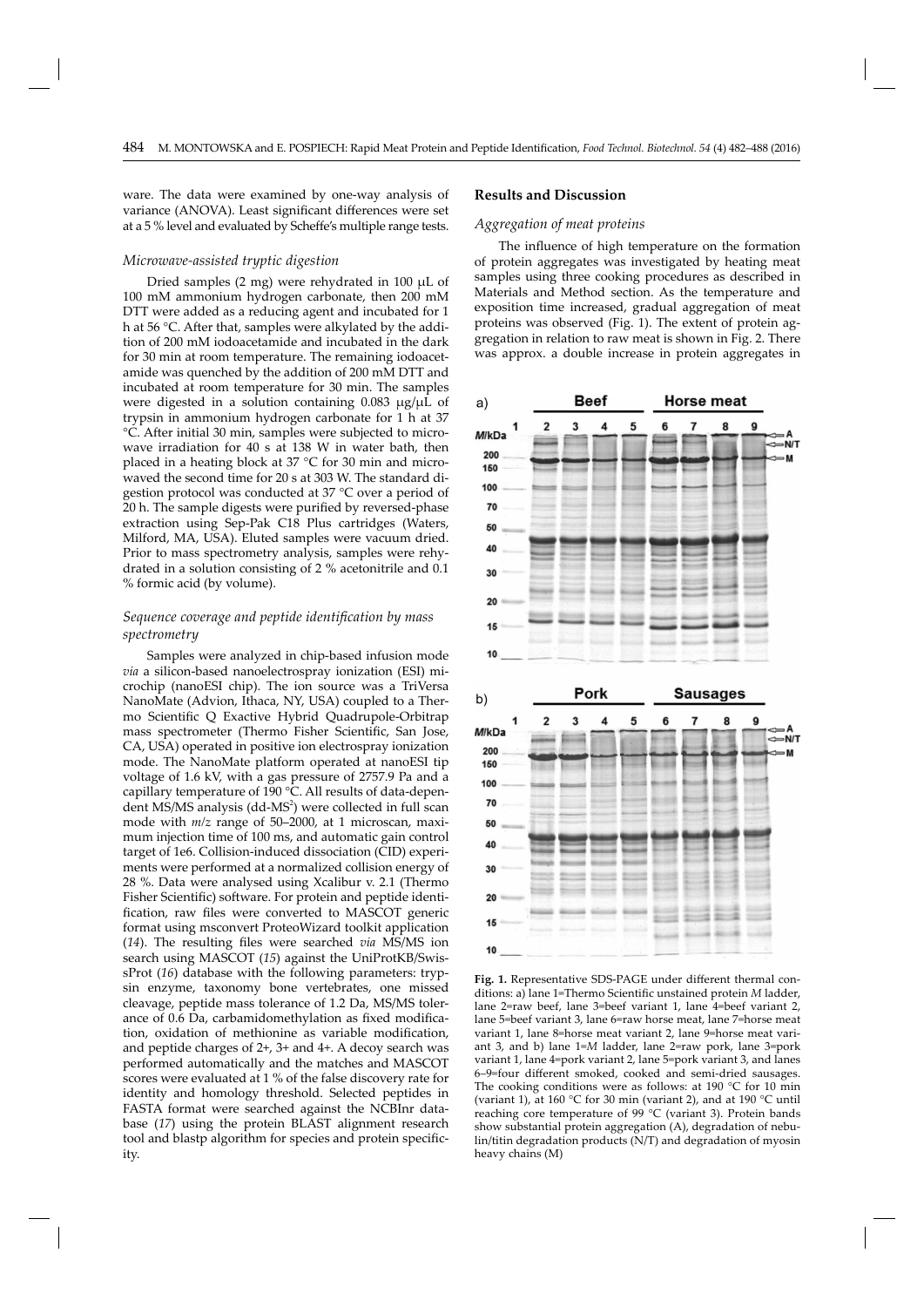ware. The data were examined by one-way analysis of variance (ANOVA). Least significant differences were set at a 5 % level and evaluated by Scheffe's multiple range tests.

### *Microwave-assisted tryptic digestion*

Dried samples (2 mg) were rehydrated in 100 μL of 100 mM ammonium hydrogen carbonate, then 200 mM DTT were added as a reducing agent and incubated for 1 h at 56 °C. After that, samples were alkylated by the addition of 200 mM iodoacetamide and incubated in the dark for 30 min at room temperature. The remaining iodoacetamide was quenched by the addition of 200 mM DTT and incubated at room temperature for 30 min. The samples were digested in a solution containing 0.083 μg/μL of trypsin in ammonium hydrogen carbonate for 1 h at 37 <sup>o</sup>C. After initial 30 min, samples were subjected to microwave irradiation for 40 s at 138 W in water bath, then placed in a heating block at 37 °C for 30 min and microwaved the second time for 20 s at 303 W. The standard digestion protocol was conducted at 37 °C over a period of 20 h. The sample digests were purified by reversed-phase extraction using Sep-Pak C18 Plus cartridges (Waters, Milford, MA, USA). Eluted samples were vacuum dried. Prior to mass spectrometry analysis, samples were rehydrated in a solution consisting of 2 % acetonitrile and 0.1 % formic acid (by volume).

# *Sequence coverage and peptide identification by mass spectrometry*

Samples were analyzed in chip-based infusion mode *via* a silicon-based nanoelectrospray ionization (ESI) microchip (nanoESI chip). The ion source was a TriVersa NanoMate (Advion, Ithaca, NY, USA) coupled to a Thermo Scientific Q Exactive Hybrid Quadrupole-Orbitrap mass spectrometer (Thermo Fisher Scientific, San Jose, CA, USA) operated in positive ion electrospray ionization mode. The NanoMate platform operated at nanoESI tip voltage of 1.6 kV, with a gas pressure of 2757.9 Pa and a capillary temperature of 190 °C. All results of data-dependent MS/MS analysis (dd-MS<sup>2</sup>) were collected in full scan mode with *m/z* range of 50–2000, at 1 microscan, maximum injection time of 100 ms, and automatic gain control target of 1e6. Collision-induced dissociation (CID) experiments were performed at a normalized collision energy of 28 %. Data were analysed using Xcalibur v. 2.1 (Thermo Fisher Scientific) software. For protein and peptide identification, raw files were converted to MASCOT generic format using msconvert ProteoWizard toolkit application (14). The resulting files were searched *via* MS/MS ion search using MASCOT (*15*) against the UniProtKB/SwissProt (*16*) database with the following parameters: trypsin enzyme, taxonomy bone vertebrates, one missed cleavage, peptide mass tolerance of 1.2 Da, MS/MS tolerance of 0.6 Da, carbamidomethylation as fixed modification, oxidation of methionine as variable modification, and peptide charges of 2+, 3+ and 4+. A decoy search was performed automatically and the matches and MASCOT scores were evaluated at 1 % of the false discovery rate for identity and homology threshold. Selected peptides in FASTA format were searched against the NCBInr database (*17*) using the protein BLAST alignment research tool and blastp algorithm for species and protein specificity.

## **Results and Discussion**

# *Aggregation of meat proteins*

The influence of high temperature on the formation of protein aggregates was investigated by heating meat samples using three cooking procedures as described in Materials and Method section. As the temperature and exposition time increased, gradual aggregation of meat proteins was observed (Fig. 1). The extent of protein aggregation in relation to raw meat is shown in Fig. 2. There was approx. a double increase in protein aggregates in



Fig. 1. Representative SDS-PAGE under different thermal conditions: a) lane 1=Thermo Scientific unstained protein *M* ladder, lane 2=raw beef, lane 3=beef variant 1, lane 4=beef variant 2, lane 5=beef variant 3, lane 6=raw horse meat, lane 7=horse meat variant 1, lane 8=horse meat variant 2, lane 9=horse meat variant 3, and b) lane 1=*M* ladder, lane 2=raw pork, lane 3=pork variant 1, lane 4=pork variant 2, lane 5=pork variant 3, and lanes 6-9=four different smoked, cooked and semi-dried sausages. The cooking conditions were as follows: at 190  $\degree$ C for 10 min (variant 1), at 160 °C for 30 min (variant 2), and at 190 °C until reaching core temperature of 99 °C (variant 3). Protein bands show substantial protein aggregation (A), degradation of nebulin/titin degradation products (N/T) and degradation of myosin heavy chains (M)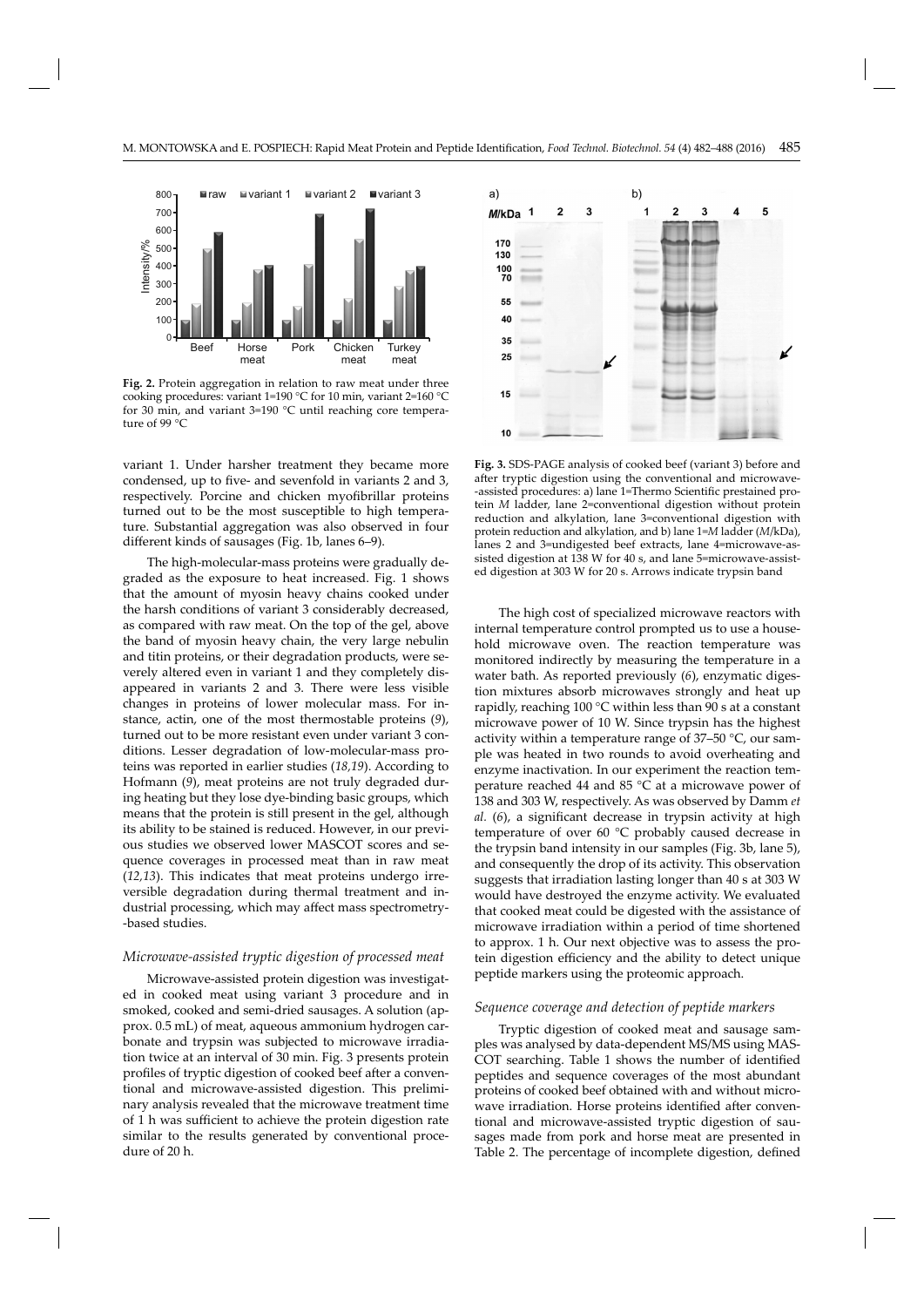

**Fig. 2.** Protein aggregation in relation to raw meat under three cook ing procedures: variant 1=190 °C for 10 min, variant 2=160 °C for 30 min, and variant 3=190 °C until reaching core temperature of 99 °C

variant 1. Under harsher treatment they became more condensed, up to five- and sevenfold in variants 2 and 3, respectively. Porcine and chicken myofibrillar proteins turned out to be the most susceptible to high temperature. Substantial aggregation was also observed in four different kinds of sausages (Fig. 1b, lanes 6–9).

The high-molecular-mass proteins were gradually degraded as the exposure to heat increased. Fig. 1 shows that the amount of myosin heavy chains cooked under the harsh conditions of variant 3 considerably decreased, as compared with raw meat. On the top of the gel, above the band of myosin heavy chain, the very large nebulin and titin proteins, or their degradation products, were severely altered even in variant 1 and they completely disappeared in variants 2 and 3. There were less visible changes in proteins of lower molecular mass. For instance, actin, one of the most thermostable proteins (*9*), turned out to be more resistant even under variant 3 conditions. Lesser degradation of low-molecular-mass proteins was reported in earlier studies (*18,19*). According to Hofmann (*9*), meat proteins are not truly degraded during heating but they lose dye-binding basic groups, which means that the protein is still present in the gel, although its ability to be stained is reduced. However, in our previous studies we observed lower MASCOT scores and sequence coverages in processed meat than in raw meat (*12,13*). This indicates that meat proteins undergo irreversible degradation during thermal treatment and industrial processing, which may affect mass spectrometry--based studies.

# *Microwave-assisted tryptic digestion of processed meat*

Microwave-assisted protein digestion was investigated in cooked meat using variant 3 procedure and in smoked, cooked and semi-dried sausages. A solution (approx. 0.5 mL) of meat, aqueous ammonium hydrogen carbonate and trypsin was subjected to microwave irradiation twice at an interval of 30 min. Fig. 3 presents protein profiles of tryptic digestion of cooked beef after a conventional and microwave-assisted digestion. This preliminary analysis revealed that the microwave treatment time of 1 h was sufficient to achieve the protein digestion rate similar to the results generated by conventional procedure of 20 h.



**Fig. 3.** SDS-PAGE analysis of cooked beef (variant 3) before and after tryptic digestion using the conventional and microwave--assisted procedures: a) lane 1=Thermo Scientific prestained protein *M* ladder, lane 2=conventional digestion without protein reduction and alkylation, lane 3=conventional digestion with protein reduction and alkylation, and b) lane 1=*M* ladder (*M*/kDa), lanes 2 and 3=undigested beef extracts, lane 4=microwave-assisted digestion at 138 W for 40 s, and lane 5=microwave-assisted digestion at 303 W for 20 s. Arrows indicate trypsin band

The high cost of specialized microwave reactors with internal temperature control prompted us to use a household microwave oven. The reaction temperature was monitored indirectly by measuring the temperature in a water bath. As reported previously (*6*), enzymatic digestion mixtures absorb microwaves strongly and heat up rapidly, reaching 100 °C within less than 90 s at a constant microwave power of 10 W. Since trypsin has the highest activity within a temperature range of  $37-50$  °C, our sample was heated in two rounds to avoid overheating and enzyme inactivation. In our experiment the reaction temperature reached 44 and 85 °C at a microwave power of 138 and 303 W, respectively. As was observed by Damm *et al.* (6), a significant decrease in trypsin activity at high temperature of over 60 °C probably caused decrease in the trypsin band intensity in our samples (Fig. 3b, lane 5), and consequently the drop of its activity. This observation suggests that irradiation lasting longer than 40 s at 303 W would have destroyed the enzyme activity. We evaluated that cooked meat could be digested with the assistance of microwave irradiation within a period of time shortened to approx. 1 h. Our next objective was to assess the protein digestion efficiency and the ability to detect unique peptide markers using the proteomic approach.

### *Sequence coverage and detection of peptide markers*

Tryptic digestion of cooked meat and sausage samples was analysed by data-dependent MS/MS using MAS-COT searching. Table 1 shows the number of identified peptides and sequence coverages of the most abundant proteins of cooked beef obtained with and without microwave irradiation. Horse proteins identified after conventional and microwave-assisted tryptic digestion of sausages made from pork and horse meat are presented in Table 2. The percentage of incomplete digestion, defined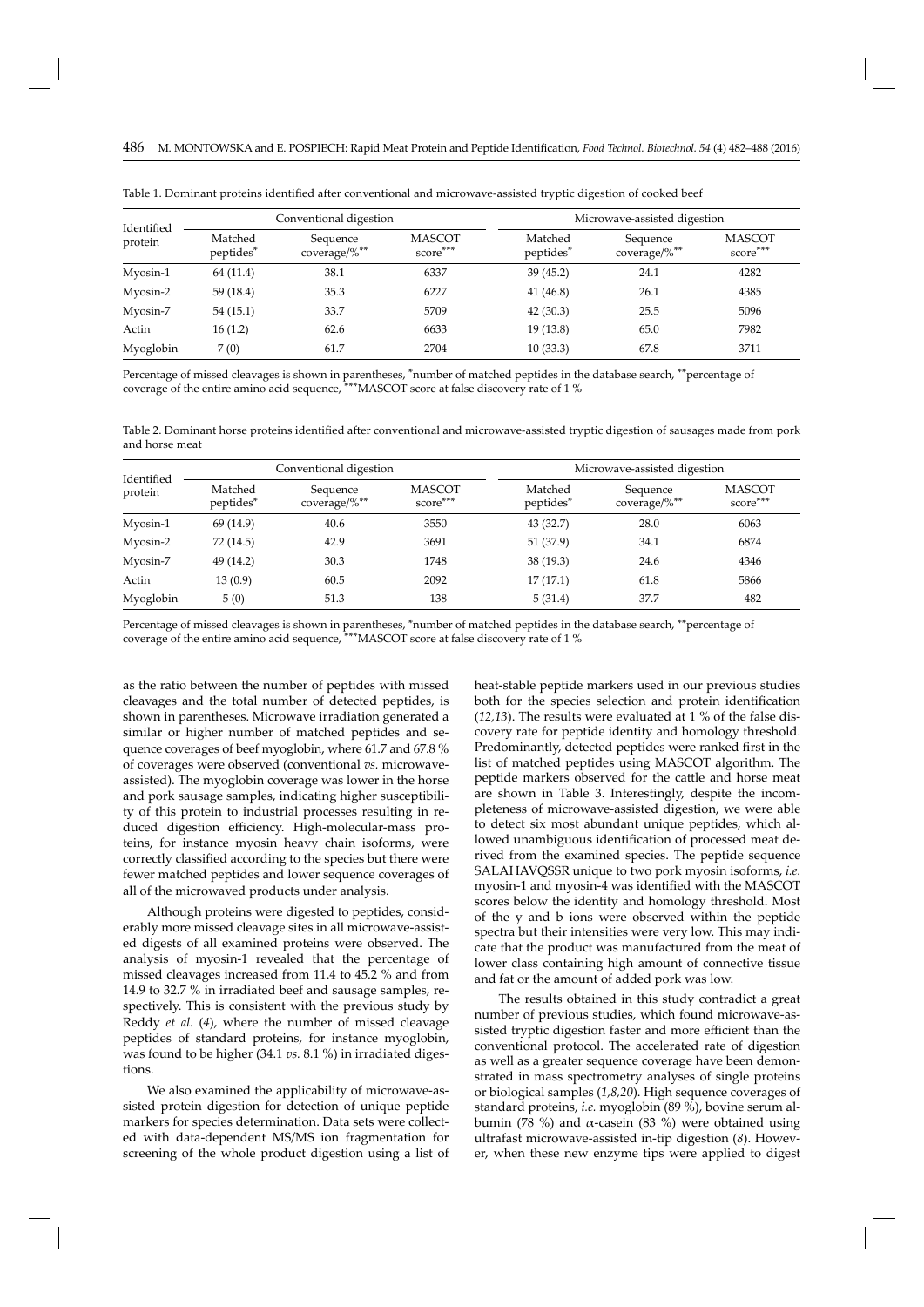| Identified<br>protein | Conventional digestion           |                          |                           | Microwave-assisted digestion     |                          |                           |  |
|-----------------------|----------------------------------|--------------------------|---------------------------|----------------------------------|--------------------------|---------------------------|--|
|                       | Matched<br>peptides <sup>*</sup> | Sequence<br>coverage/%** | <b>MASCOT</b><br>score*** | Matched<br>peptides <sup>*</sup> | Sequence<br>coverage/%** | <b>MASCOT</b><br>score*** |  |
| Myosin-1              | 64(11.4)                         | 38.1                     | 6337                      | 39(45.2)                         | 24.1                     | 4282                      |  |
| Myosin-2              | 59(18.4)                         | 35.3                     | 6227                      | 41(46.8)                         | 26.1                     | 4385                      |  |
| Myosin-7              | 54(15.1)                         | 33.7                     | 5709                      | 42(30.3)                         | 25.5                     | 5096                      |  |
| Actin                 | 16(1.2)                          | 62.6                     | 6633                      | 19(13.8)                         | 65.0                     | 7982                      |  |
| Myoglobin             | 7(0)                             | 61.7                     | 2704                      | 10(33.3)                         | 67.8                     | 3711                      |  |

Table 1. Dominant proteins identified after conventional and microwave-assisted tryptic digestion of cooked beef

Percentage of missed cleavages is shown in parentheses, \*number of matched peptides in the database search, \*\*percentage of coverage of the entire amino acid sequence, \*\*\*MASCOT score at false discovery rate of 1 %

Table 2. Dominant horse proteins identified after conventional and microwave-assisted tryptic digestion of sausages made from pork and horse meat

| Identified<br>protein | Conventional digestion           |                          |                           | Microwave-assisted digestion |                          |                           |  |
|-----------------------|----------------------------------|--------------------------|---------------------------|------------------------------|--------------------------|---------------------------|--|
|                       | Matched<br>peptides <sup>*</sup> | Sequence<br>coverage/%** | <b>MASCOT</b><br>score*** | Matched<br>peptides*         | Sequence<br>coverage/%** | <b>MASCOT</b><br>score*** |  |
| Myosin-1              | 69 (14.9)                        | 40.6                     | 3550                      | 43(32.7)                     | 28.0                     | 6063                      |  |
| Myosin-2              | 72(14.5)                         | 42.9                     | 3691                      | 51 (37.9)                    | 34.1                     | 6874                      |  |
| Myosin-7              | 49(14.2)                         | 30.3                     | 1748                      | 38 (19.3)                    | 24.6                     | 4346                      |  |
| Actin                 | 13(0.9)                          | 60.5                     | 2092                      | 17(17.1)                     | 61.8                     | 5866                      |  |
| Myoglobin             | 5(0)                             | 51.3                     | 138                       | 5(31.4)                      | 37.7                     | 482                       |  |

Percentage of missed cleavages is shown in parentheses, \*number of matched peptides in the database search, \*\*percentage of coverage of the entire amino acid sequence, \*\*\*MASCOT score at false discovery rate of 1 %

as the ratio between the number of peptides with missed cleavages and the total number of detected peptides, is shown in parentheses. Microwave irradiation generated a similar or higher number of matched peptides and sequence coverages of beef myoglobin, where 61.7 and 67.8 % of coverages were observed (conventional *vs.* microwaveassisted). The myoglobin coverage was lower in the horse and pork sausage samples, indicating higher susceptibility of this protein to industrial processes resulting in reduced digestion efficiency. High-molecular-mass proteins, for instance myosin heavy chain isoforms, were correctly classified according to the species but there were fewer matched peptides and lower sequence coverages of all of the microwaved products under analysis.

Although proteins were digested to peptides, considerably more missed cleavage sites in all microwave-assisted digests of all examined proteins were observed. The analysis of myosin-1 revealed that the percentage of missed cleavages increased from 11.4 to 45.2 % and from 14.9 to 32.7 % in irradiated beef and sausage samples, respectively. This is consistent with the previous study by Reddy *et al.* (*4*), where the number of missed cleavage peptides of standard proteins, for instance myoglobin, was found to be higher (34.1 *vs.* 8.1 %) in irradiated digestions.

We also examined the applicability of microwave-assisted protein digestion for detection of unique peptide markers for species determination. Data sets were collected with data-dependent MS/MS ion fragmentation for screening of the whole product digestion using a list of heat-stable peptide markers used in our previous studies both for the species selection and protein identification (*12,13*). The results were evaluated at 1 % of the false discovery rate for peptide identity and homology threshold. Predominantly, detected peptides were ranked first in the list of matched peptides using MASCOT algorithm. The peptide markers observed for the cattle and horse meat are shown in Table 3. Interestingly, despite the incompleteness of microwave-assisted digestion, we were able to detect six most abundant unique peptides, which allowed unambiguous identification of processed meat derived from the examined species. The peptide sequence SALAHAVQSSR unique to two pork myosin isoforms, *i.e.* myosin-1 and myosin-4 was identified with the MASCOT scores below the identity and homology threshold. Most of the y and b ions were observed within the peptide spectra but their intensities were very low. This may indicate that the product was manufactured from the meat of lower class containing high amount of connective tissue and fat or the amount of added pork was low.

The results obtained in this study contradict a great number of previous studies, which found microwave-assisted tryptic digestion faster and more efficient than the conventional protocol. The accelerated rate of digestion as well as a greater sequence coverage have been demonstrated in mass spectrometry analyses of single proteins or biological samples (*1,8,20*). High sequence coverages of standard proteins, *i.e.* myoglobin (89 %), bovine serum albumin (78 %) and  $\alpha$ -casein (83 %) were obtained using ultrafast microwave-assisted in-tip digestion (*8*). However, when these new enzyme tips were applied to digest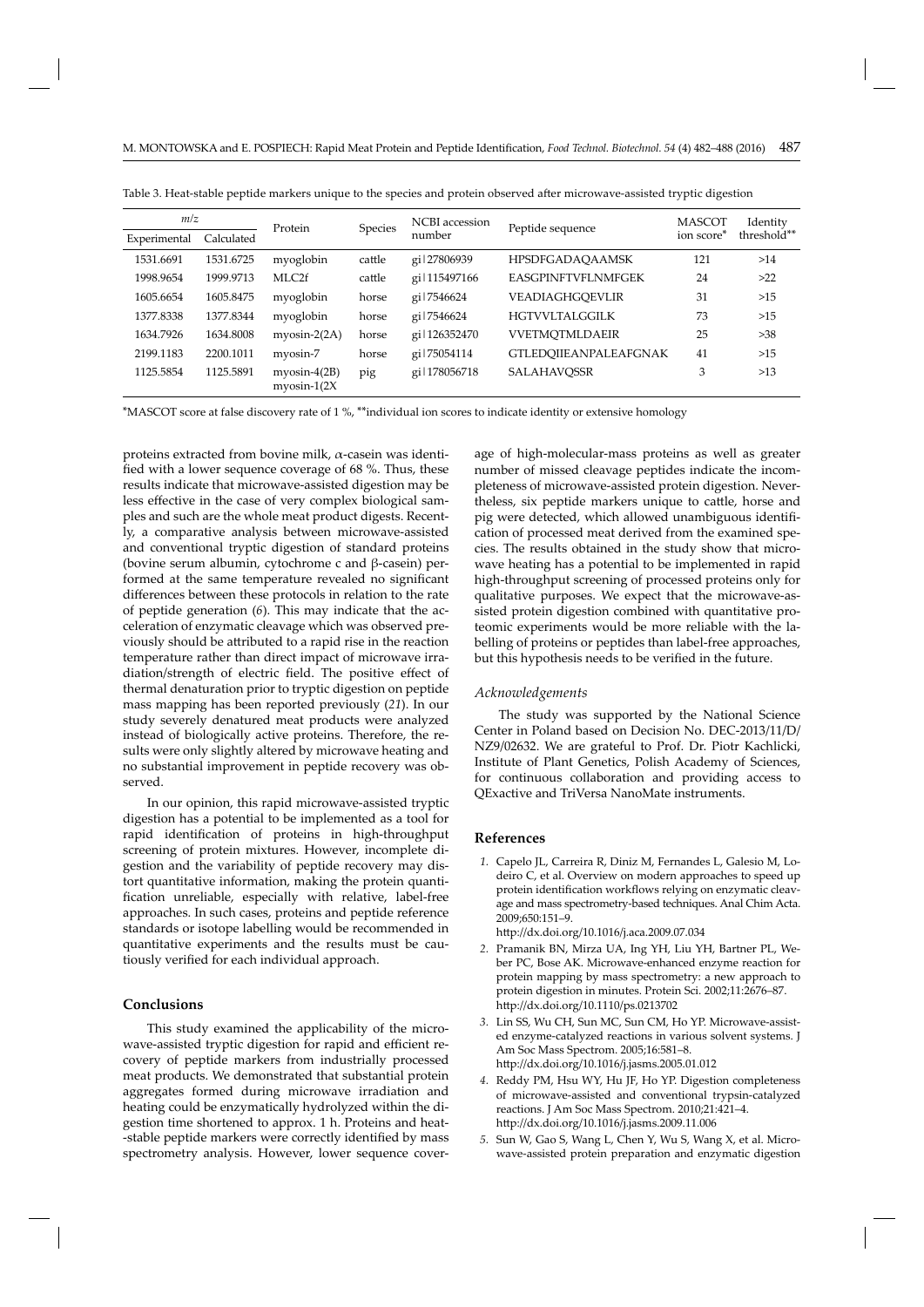| m/z          |            | Protein                          | Species | NCBI accession | Peptide sequence             | <b>MASCOT</b> | Identity    |
|--------------|------------|----------------------------------|---------|----------------|------------------------------|---------------|-------------|
| Experimental | Calculated |                                  |         | number         |                              | ion score*    | threshold** |
| 1531.6691    | 1531.6725  | myoglobin                        | cattle  | gi 27806939    | <b>HPSDFGADAOAAMSK</b>       | 121           | >14         |
| 1998.9654    | 1999.9713  | MLC2f                            | cattle  | gi   115497166 | <b>EASGPINFTVFLNMFGEK</b>    | 24            | $>22$       |
| 1605.6654    | 1605.8475  | myoglobin                        | horse   | gi   7546624   | <b>VEADIAGHGOEVLIR</b>       | 31            | >15         |
| 1377.8338    | 1377.8344  | myoglobin                        | horse   | gi   7546624   | <b>HGTVVLTALGGILK</b>        | 73            | >15         |
| 1634.7926    | 1634.8008  | $myosin-2(2A)$                   | horse   | gi   126352470 | <b>VVETMOTMLDAEIR</b>        | 25            | >38         |
| 2199.1183    | 2200.1011  | myosin-7                         | horse   | gi   75054114  | <b>GTLEDOIIEANPALEAFGNAK</b> | 41            | >15         |
| 1125.5854    | 1125.5891  | $myosin-4(2B)$<br>$myosin-1(2X)$ | pig     | gi   178056718 | SALAHAVOSSR                  | 3             | >13         |

Table 3. Heat-stable peptide markers unique to the species and protein observed after microwave-assisted tryptic digestion

\*MASCOT score at false discovery rate of 1 %, \*\*individual ion scores to indicate identity or extensive homology

proteins extracted from bovine milk, α-casein was identified with a lower sequence coverage of 68 %. Thus, these results indicate that microwave-assisted digestion may be less effective in the case of very complex biological samples and such are the whole meat product digests. Recently, a comparative analysis between microwave-assisted and conventional tryptic digestion of standard proteins (bovine serum albumin, cytochrome c and β-casein) performed at the same temperature revealed no significant differences between these protocols in relation to the rate of peptide generation (*6*). This may indicate that the acceleration of enzymatic cleavage which was observed previously should be attributed to a rapid rise in the reaction temperature rather than direct impact of microwave irradiation/strength of electric field. The positive effect of thermal denaturation prior to tryptic digestion on peptide mass mapping has been reported previously (*21*). In our study severely denatured meat products were analyzed instead of biologically active proteins. Therefore, the results were only slightly altered by microwave heating and no substantial improvement in peptide recovery was observed.

In our opinion, this rapid microwave-assisted tryptic digestion has a potential to be implemented as a tool for rapid identification of proteins in high-throughput screening of protein mixtures. However, incomplete digestion and the variability of peptide recovery may distort quantitative information, making the protein quantification unreliable, especially with relative, label-free approaches. In such cases, proteins and peptide reference standards or isotope labelling would be recommended in quantitative experiments and the results must be cautiously verified for each individual approach.

# **Conclusions**

This study examined the applicability of the microwave-assisted tryptic digestion for rapid and efficient recovery of peptide markers from industrially processed meat products. We demonstrated that substantial protein aggregates formed during microwave irradiation and heating could be enzymatically hydrolyzed within the digestion time shortened to approx. 1 h. Proteins and heat- -stable peptide markers were correctly identified by mass spectrometry analysis. However, lower sequence coverage of high-molecular-mass proteins as well as greater number of missed cleavage peptides indicate the incompleteness of microwave-assisted protein digestion. Nevertheless, six peptide markers unique to cattle, horse and pig were detected, which allowed unambiguous identification of processed meat derived from the examined species. The results obtained in the study show that microwave heating has a potential to be implemented in rapid high-throughput screening of processed proteins only for qualitative purposes. We expect that the microwave-assisted protein digestion combined with quantitative proteomic experiments would be more reliable with the labelling of proteins or peptides than label-free approaches, but this hypothesis needs to be verified in the future.

# *Acknowledgements*

The study was supported by the National Science Center in Poland based on Decision No. DEC-2013/11/D/ NZ9/02632. We are grateful to Prof. Dr. Piotr Kachlicki, Institute of Plant Genetics, Polish Academy of Sciences, for continuous collaboration and providing access to QExactive and TriVersa NanoMate instruments.

# **References**

 *1.* Capelo JL, Carreira R, Diniz M, Fernandes L, Galesio M, Lodeiro C, et al. Overview on modern approaches to speed up protein identification workflows relying on enzymatic cleavage and mass spectrometry-based techniques. Anal Chim Acta. 2009;650:151–9.

http://dx.doi.org/10.1016/j.aca.2009.07.034

- *2.* Pramanik BN, Mirza UA, Ing YH, Liu YH, Bartner PL, Weber PC, Bose AK. Microwave-enhanced enzyme reaction for protein mapping by mass spectrometry: a new approach to protein digestion in minutes. Protein Sci. 2002;11:2676–87. http://dx.doi.org/10.1110/ps.0213702
- *3.* Lin SS, Wu CH, Sun MC, Sun CM, Ho YP. Microwave-assisted enzyme-catalyzed reactions in various solvent systems. J Am Soc Mass Spectrom. 2005;16:581–8. http://dx.doi.org/10.1016/j.jasms.2005.01.012
- *4.* Reddy PM, Hsu WY, Hu JF, Ho YP. Digestion completeness of microwave-assisted and conventional trypsin-catalyzed reactions. J Am Soc Mass Spectrom. 2010;21:421–4. http://dx.doi.org/10.1016/j.jasms.2009.11.006
- *5.* Sun W, Gao S, Wang L, Chen Y, Wu S, Wang X, et al. Microwave-assisted protein preparation and enzymatic digestion